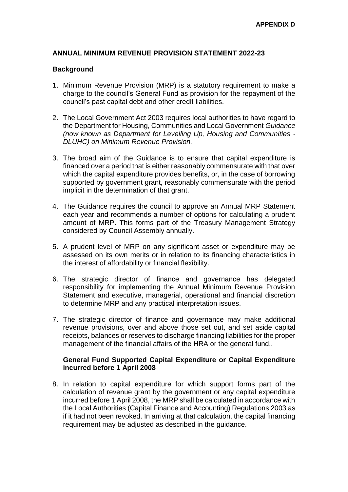## **ANNUAL MINIMUM REVENUE PROVISION STATEMENT 2022-23**

#### **Background**

- 1. Minimum Revenue Provision (MRP) is a statutory requirement to make a charge to the council's General Fund as provision for the repayment of the council's past capital debt and other credit liabilities.
- 2. The Local Government Act 2003 requires local authorities to have regard to the Department for Housing, Communities and Local Government *Guidance (now known as Department for Levelling Up, Housing and Communities - DLUHC) on Minimum Revenue Provision.*
- 3. The broad aim of the Guidance is to ensure that capital expenditure is financed over a period that is either reasonably commensurate with that over which the capital expenditure provides benefits, or, in the case of borrowing supported by government grant, reasonably commensurate with the period implicit in the determination of that grant.
- 4. The Guidance requires the council to approve an Annual MRP Statement each year and recommends a number of options for calculating a prudent amount of MRP. This forms part of the Treasury Management Strategy considered by Council Assembly annually.
- 5. A prudent level of MRP on any significant asset or expenditure may be assessed on its own merits or in relation to its financing characteristics in the interest of affordability or financial flexibility.
- 6. The strategic director of finance and governance has delegated responsibility for implementing the Annual Minimum Revenue Provision Statement and executive, managerial, operational and financial discretion to determine MRP and any practical interpretation issues.
- 7. The strategic director of finance and governance may make additional revenue provisions, over and above those set out, and set aside capital receipts, balances or reserves to discharge financing liabilities for the proper management of the financial affairs of the HRA or the general fund..

#### **General Fund Supported Capital Expenditure or Capital Expenditure incurred before 1 April 2008**

8. In relation to capital expenditure for which support forms part of the calculation of revenue grant by the government or any capital expenditure incurred before 1 April 2008, the MRP shall be calculated in accordance with the Local Authorities (Capital Finance and Accounting) Regulations 2003 as if it had not been revoked. In arriving at that calculation, the capital financing requirement may be adjusted as described in the guidance.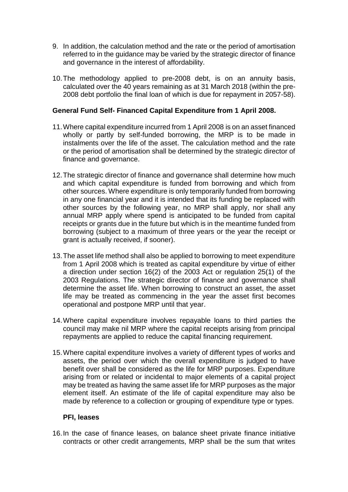- 9. In addition, the calculation method and the rate or the period of amortisation referred to in the guidance may be varied by the strategic director of finance and governance in the interest of affordability.
- 10.The methodology applied to pre-2008 debt, is on an annuity basis, calculated over the 40 years remaining as at 31 March 2018 (within the pre-2008 debt portfolio the final loan of which is due for repayment in 2057-58).

# **General Fund Self- Financed Capital Expenditure from 1 April 2008.**

- 11.Where capital expenditure incurred from 1 April 2008 is on an asset financed wholly or partly by self-funded borrowing, the MRP is to be made in instalments over the life of the asset. The calculation method and the rate or the period of amortisation shall be determined by the strategic director of finance and governance.
- 12.The strategic director of finance and governance shall determine how much and which capital expenditure is funded from borrowing and which from other sources. Where expenditure is only temporarily funded from borrowing in any one financial year and it is intended that its funding be replaced with other sources by the following year, no MRP shall apply, nor shall any annual MRP apply where spend is anticipated to be funded from capital receipts or grants due in the future but which is in the meantime funded from borrowing (subject to a maximum of three years or the year the receipt or grant is actually received, if sooner).
- 13.The asset life method shall also be applied to borrowing to meet expenditure from 1 April 2008 which is treated as capital expenditure by virtue of either a direction under section 16(2) of the 2003 Act or regulation 25(1) of the 2003 Regulations. The strategic director of finance and governance shall determine the asset life. When borrowing to construct an asset, the asset life may be treated as commencing in the year the asset first becomes operational and postpone MRP until that year.
- 14.Where capital expenditure involves repayable loans to third parties the council may make nil MRP where the capital receipts arising from principal repayments are applied to reduce the capital financing requirement.
- 15.Where capital expenditure involves a variety of different types of works and assets, the period over which the overall expenditure is judged to have benefit over shall be considered as the life for MRP purposes. Expenditure arising from or related or incidental to major elements of a capital project may be treated as having the same asset life for MRP purposes as the major element itself. An estimate of the life of capital expenditure may also be made by reference to a collection or grouping of expenditure type or types.

# **PFI, leases**

16.In the case of finance leases, on balance sheet private finance initiative contracts or other credit arrangements, MRP shall be the sum that writes